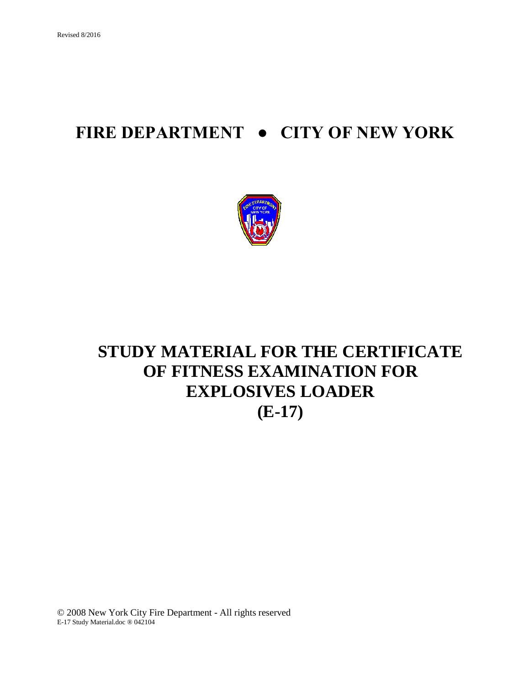# **FIRE DEPARTMENT ● CITY OF NEW YORK**



# **STUDY MATERIAL FOR THE CERTIFICATE OF FITNESS EXAMINATION FOR EXPLOSIVES LOADER (E-17)**

© 2008 New York City Fire Department - All rights reserved E-17 Study Material.doc ® 042104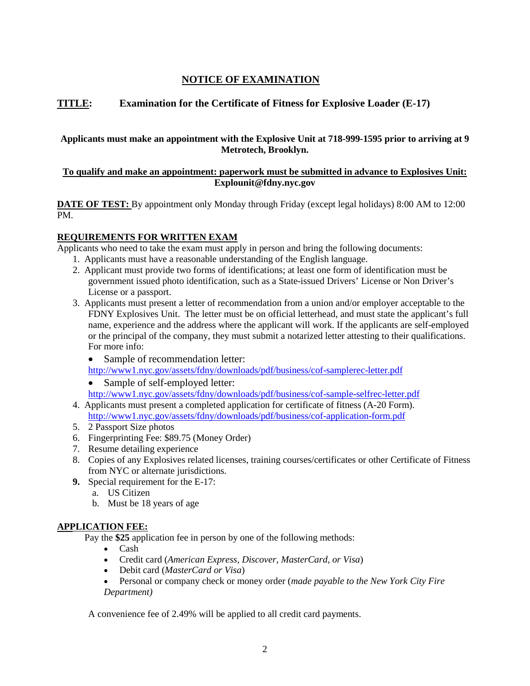# **NOTICE OF EXAMINATION**

# **TITLE: Examination for the Certificate of Fitness for Explosive Loader (E-17)**

#### **Applicants must make an appointment with the Explosive Unit at 718-999-1595 prior to arriving at 9 Metrotech, Brooklyn.**

#### **To qualify and make an appointment: paperwork must be submitted in advance to Explosives Unit: Explounit@fdny.nyc.gov**

**DATE OF TEST:** By appointment only Monday through Friday (except legal holidays) 8:00 AM to 12:00 PM.

#### **REQUIREMENTS FOR WRITTEN EXAM**

Applicants who need to take the exam must apply in person and bring the following documents:

- 1. Applicants must have a reasonable understanding of the English language.
- 2. Applicant must provide two forms of identifications; at least one form of identification must be government issued photo identification, such as a State-issued Drivers' License or Non Driver's License or a passport.
- 3. Applicants must present a letter of recommendation from a union and/or employer acceptable to the FDNY Explosives Unit. The letter must be on official letterhead, and must state the applicant's full name, experience and the address where the applicant will work. If the applicants are self-employed or the principal of the company, they must submit a notarized letter attesting to their qualifications. For more info:
	- Sample of recommendation letter:

<http://www1.nyc.gov/assets/fdny/downloads/pdf/business/cof-samplerec-letter.pdf>

• Sample of self-employed letter: <http://www1.nyc.gov/assets/fdny/downloads/pdf/business/cof-sample-selfrec-letter.pdf>

- 4. Applicants must present a completed application for certificate of fitness (A-20 Form). <http://www1.nyc.gov/assets/fdny/downloads/pdf/business/cof-application-form.pdf>
- 5. 2 Passport Size photos
- 6. Fingerprinting Fee: \$89.75 (Money Order)
- 7. Resume detailing experience
- 8. Copies of any Explosives related licenses, training courses/certificates or other Certificate of Fitness from NYC or alternate jurisdictions.
- **9.** Special requirement for the E-17:
	- a. US Citizen
	- b. Must be 18 years of age

## **APPLICATION FEE:**

Pay the **\$25** application fee in person by one of the following methods:

- Cash
- Credit card (*American Express, Discover, MasterCard, or Visa*)
- Debit card (*MasterCard or Visa*)
- Personal or company check or money order (*made payable to the New York City Fire Department)*

A convenience fee of 2.49% will be applied to all credit card payments.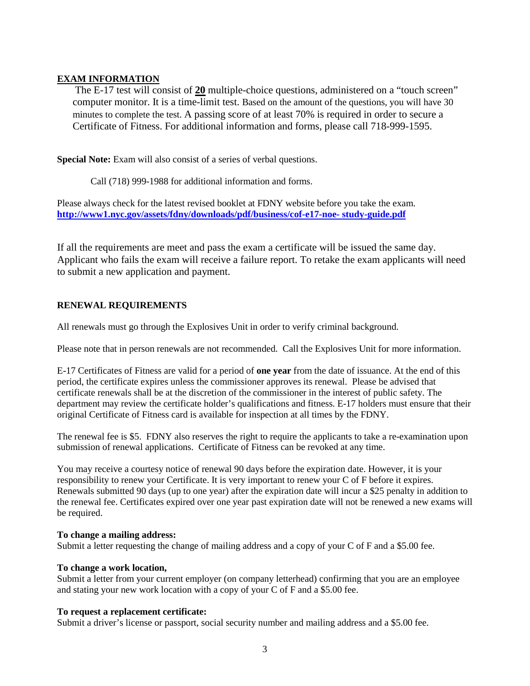## **EXAM INFORMATION**

The E-17 test will consist of **20** multiple-choice questions, administered on a "touch screen" computer monitor. It is a time-limit test. Based on the amount of the questions, you will have 30 minutes to complete the test. A passing score of at least 70% is required in order to secure a Certificate of Fitness. For additional information and forms, please call 718-999-1595.

**Special Note:** Exam will also consist of a series of verbal questions.

Call (718) 999-1988 for additional information and forms.

Please always check for the latest revised booklet at FDNY website before you take the exam. **[http://www1.nyc.gov/assets/fdny/downloads/pdf/business/cof-e17-noe-](http://www1.nyc.gov/assets/fdny/downloads/pdf/business/cof-e17-noe-%20study-guide.pdf) study-guide.pdf**

If all the requirements are meet and pass the exam a certificate will be issued the same day. Applicant who fails the exam will receive a failure report. To retake the exam applicants will need to submit a new application and payment.

# **RENEWAL REQUIREMENTS**

All renewals must go through the Explosives Unit in order to verify criminal background.

Please note that in person renewals are not recommended. Call the Explosives Unit for more information.

E-17 Certificates of Fitness are valid for a period of **one year** from the date of issuance. At the end of this period, the certificate expires unless the commissioner approves its renewal. Please be advised that certificate renewals shall be at the discretion of the commissioner in the interest of public safety. The department may review the certificate holder's qualifications and fitness. E-17 holders must ensure that their original Certificate of Fitness card is available for inspection at all times by the FDNY.

The renewal fee is \$5. FDNY also reserves the right to require the applicants to take a re-examination upon submission of renewal applications. Certificate of Fitness can be revoked at any time.

You may receive a courtesy notice of renewal 90 days before the expiration date. However, it is your responsibility to renew your Certificate. It is very important to renew your C of F before it expires. Renewals submitted 90 days (up to one year) after the expiration date will incur a \$25 penalty in addition to the renewal fee. Certificates expired over one year past expiration date will not be renewed a new exams will be required.

## **To change a mailing address:**

Submit a letter requesting the change of mailing address and a copy of your C of F and a \$5.00 fee.

#### **To change a work location,**

Submit a letter from your current employer (on company letterhead) confirming that you are an employee and stating your new work location with a copy of your C of F and a \$5.00 fee.

#### **To request a replacement certificate:**

Submit a driver's license or passport, social security number and mailing address and a \$5.00 fee.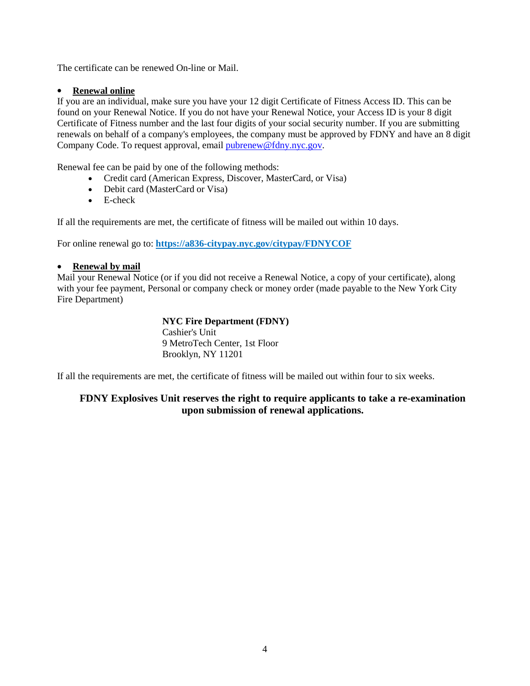The certificate can be renewed On-line or Mail.

## • **Renewal online**

If you are an individual, make sure you have your 12 digit Certificate of Fitness Access ID. This can be found on your Renewal Notice. If you do not have your Renewal Notice, your Access ID is your 8 digit Certificate of Fitness number and the last four digits of your social security number. If you are submitting renewals on behalf of a company's employees, the company must be approved by FDNY and have an 8 digit Company Code. To request approval, email [pubrenew@fdny.nyc.gov.](mailto:pubrenew@fdny.nyc.gov)

Renewal fee can be paid by one of the following methods:

- Credit card (American Express, Discover, MasterCard, or Visa)
- Debit card (MasterCard or Visa)
- E-check

If all the requirements are met, the certificate of fitness will be mailed out within 10 days.

For online renewal go to: **<https://a836-citypay.nyc.gov/citypay/FDNYCOF>**

#### • **Renewal by mail**

Mail your Renewal Notice (or if you did not receive a Renewal Notice, a copy of your certificate), along with your fee payment, Personal or company check or money order (made payable to the New York City Fire Department)

## **NYC Fire Department (FDNY)**

Cashier's Unit 9 MetroTech Center, 1st Floor Brooklyn, NY 11201

If all the requirements are met, the certificate of fitness will be mailed out within four to six weeks.

# **FDNY Explosives Unit reserves the right to require applicants to take a re-examination upon submission of renewal applications.**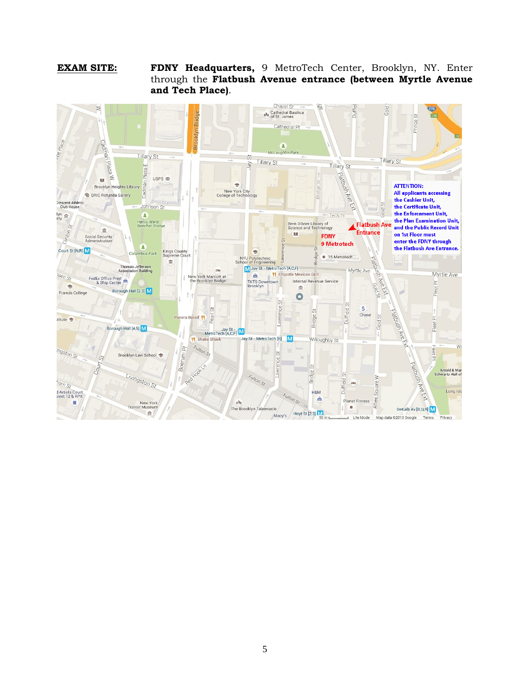#### **EXAM SITE: FDNY Headquarters,** 9 MetroTech Center, Brooklyn, NY. Enter through the **Flatbush Avenue entrance (between Myrtle Avenue and Tech Place)**.

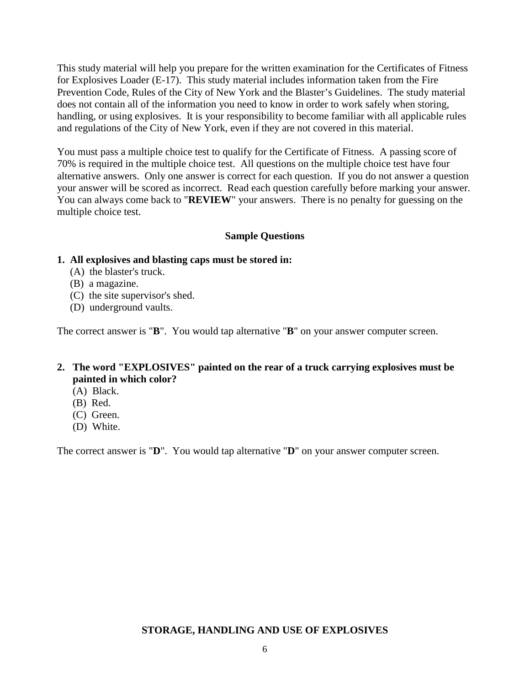This study material will help you prepare for the written examination for the Certificates of Fitness for Explosives Loader (E-17). This study material includes information taken from the Fire Prevention Code, Rules of the City of New York and the Blaster's Guidelines. The study material does not contain all of the information you need to know in order to work safely when storing, handling, or using explosives. It is your responsibility to become familiar with all applicable rules and regulations of the City of New York, even if they are not covered in this material.

You must pass a multiple choice test to qualify for the Certificate of Fitness. A passing score of 70% is required in the multiple choice test. All questions on the multiple choice test have four alternative answers. Only one answer is correct for each question. If you do not answer a question your answer will be scored as incorrect. Read each question carefully before marking your answer. You can always come back to "**REVIEW**" your answers. There is no penalty for guessing on the multiple choice test.

# **Sample Questions**

## **1. All explosives and blasting caps must be stored in:**

- (A) the blaster's truck.
- (B) a magazine.
- (C) the site supervisor's shed.
- (D) underground vaults.

The correct answer is "**B**". You would tap alternative "**B**" on your answer computer screen.

# **2. The word "EXPLOSIVES" painted on the rear of a truck carrying explosives must be painted in which color?**

- (A) Black.
- (B) Red.
- (C) Green.
- (D) White.

The correct answer is "**D**". You would tap alternative "**D**" on your answer computer screen.

# **STORAGE, HANDLING AND USE OF EXPLOSIVES**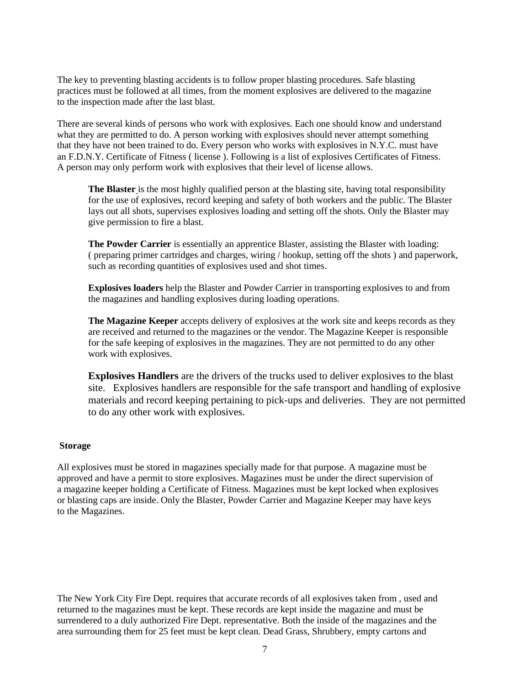The key to preventing blasting accidents is to follow proper blasting procedures. Safe blasting practices must be followed at all times, from the moment explosives are delivered to the magazine to the inspection made after the last blast.

There are several kinds of persons who work with explosives. Each one should know and understand what they are permitted to do. A person working with explosives should never attempt something that they have not been trained to do. Every person who works with explosives in N.Y.C. must have an F.D.N.Y. Certificate of Fitness ( license ). Following is a list of explosives Certificates of Fitness. A person may only perform work with explosives that their level of license allows.

**The Blaster** is the most highly qualified person at the blasting site, having total responsibility for the use of explosives, record keeping and safety of both workers and the public. The Blaster lays out all shots, supervises explosives loading and setting off the shots. Only the Blaster may give permission to fire a blast.

**The Powder Carrier** is essentially an apprentice Blaster, assisting the Blaster with loading: ( preparing primer cartridges and charges, wiring / hookup, setting off the shots ) and paperwork, such as recording quantities of explosives used and shot times.

**Explosives loaders** help the Blaster and Powder Carrier in transporting explosives to and from the magazines and handling explosives during loading operations.

**The Magazine Keeper** accepts delivery of explosives at the work site and keeps records as they are received and returned to the magazines or the vendor. The Magazine Keeper is responsible for the safe keeping of explosives in the magazines. They are not permitted to do any other work with explosives.

**Explosives Handlers** are the drivers of the trucks used to deliver explosives to the blast site. Explosives handlers are responsible for the safe transport and handling of explosive materials and record keeping pertaining to pick-ups and deliveries. They are not permitted to do any other work with explosives.

#### **Storage**

All explosives must be stored in magazines specially made for that purpose. A magazine must be approved and have a permit to store explosives. Magazines must be under the direct supervision of a magazine keeper holding a Certificate of Fitness. Magazines must be kept locked when explosives or blasting caps are inside. Only the Blaster, Powder Carrier and Magazine Keeper may have keys to the Magazines.

The New York City Fire Dept. requires that accurate records of all explosives taken from , used and returned to the magazines must be kept. These records are kept inside the magazine and must be surrendered to a duly authorized Fire Dept. representative. Both the inside of the magazines and the area surrounding them for 25 feet must be kept clean. Dead Grass, Shrubbery, empty cartons and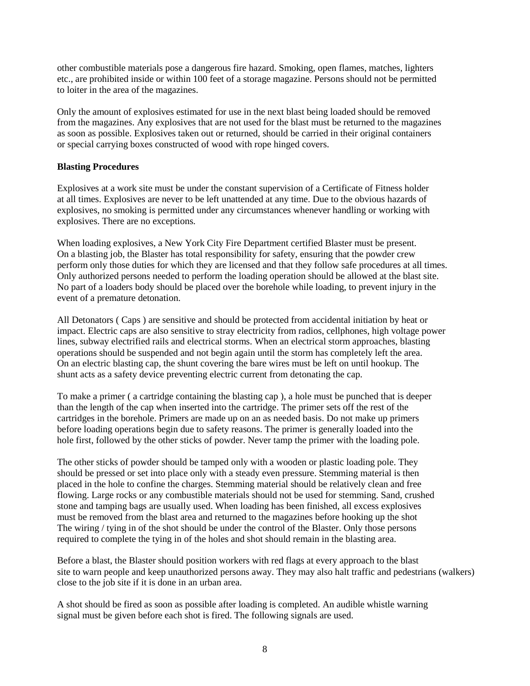other combustible materials pose a dangerous fire hazard. Smoking, open flames, matches, lighters etc., are prohibited inside or within 100 feet of a storage magazine. Persons should not be permitted to loiter in the area of the magazines.

Only the amount of explosives estimated for use in the next blast being loaded should be removed from the magazines. Any explosives that are not used for the blast must be returned to the magazines as soon as possible. Explosives taken out or returned, should be carried in their original containers or special carrying boxes constructed of wood with rope hinged covers.

#### **Blasting Procedures**

Explosives at a work site must be under the constant supervision of a Certificate of Fitness holder at all times. Explosives are never to be left unattended at any time. Due to the obvious hazards of explosives, no smoking is permitted under any circumstances whenever handling or working with explosives. There are no exceptions.

When loading explosives, a New York City Fire Department certified Blaster must be present. On a blasting job, the Blaster has total responsibility for safety, ensuring that the powder crew perform only those duties for which they are licensed and that they follow safe procedures at all times. Only authorized persons needed to perform the loading operation should be allowed at the blast site. No part of a loaders body should be placed over the borehole while loading, to prevent injury in the event of a premature detonation.

All Detonators ( Caps ) are sensitive and should be protected from accidental initiation by heat or impact. Electric caps are also sensitive to stray electricity from radios, cellphones, high voltage power lines, subway electrified rails and electrical storms. When an electrical storm approaches, blasting operations should be suspended and not begin again until the storm has completely left the area. On an electric blasting cap, the shunt covering the bare wires must be left on until hookup. The shunt acts as a safety device preventing electric current from detonating the cap.

To make a primer ( a cartridge containing the blasting cap ), a hole must be punched that is deeper than the length of the cap when inserted into the cartridge. The primer sets off the rest of the cartridges in the borehole. Primers are made up on an as needed basis. Do not make up primers before loading operations begin due to safety reasons. The primer is generally loaded into the hole first, followed by the other sticks of powder. Never tamp the primer with the loading pole.

The other sticks of powder should be tamped only with a wooden or plastic loading pole. They should be pressed or set into place only with a steady even pressure. Stemming material is then placed in the hole to confine the charges. Stemming material should be relatively clean and free flowing. Large rocks or any combustible materials should not be used for stemming. Sand, crushed stone and tamping bags are usually used. When loading has been finished, all excess explosives must be removed from the blast area and returned to the magazines before hooking up the shot The wiring / tying in of the shot should be under the control of the Blaster. Only those persons required to complete the tying in of the holes and shot should remain in the blasting area.

Before a blast, the Blaster should position workers with red flags at every approach to the blast site to warn people and keep unauthorized persons away. They may also halt traffic and pedestrians (walkers) close to the job site if it is done in an urban area.

A shot should be fired as soon as possible after loading is completed. An audible whistle warning signal must be given before each shot is fired. The following signals are used.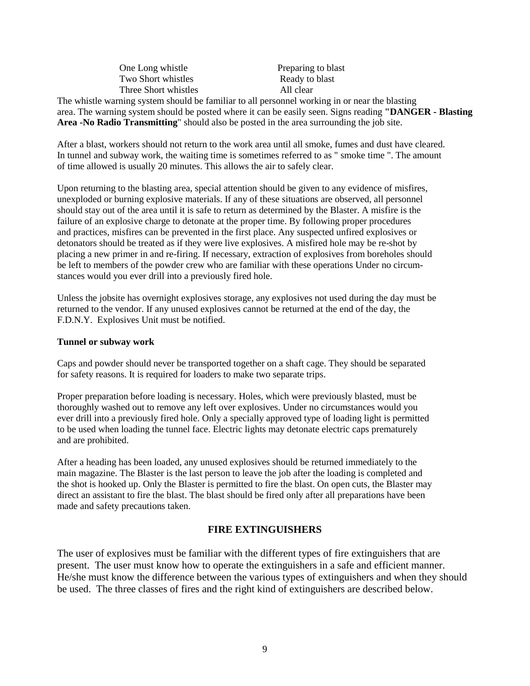| One Long whistle     | Preparing to blast |
|----------------------|--------------------|
| Two Short whistles   | Ready to blast     |
| Three Short whistles | All clear          |
|                      |                    |

The whistle warning system should be familiar to all personnel working in or near the blasting area. The warning system should be posted where it can be easily seen. Signs reading **"DANGER - Blasting Area -No Radio Transmitting**" should also be posted in the area surrounding the job site.

After a blast, workers should not return to the work area until all smoke, fumes and dust have cleared. In tunnel and subway work, the waiting time is sometimes referred to as " smoke time ". The amount of time allowed is usually 20 minutes. This allows the air to safely clear.

Upon returning to the blasting area, special attention should be given to any evidence of misfires, unexploded or burning explosive materials. If any of these situations are observed, all personnel should stay out of the area until it is safe to return as determined by the Blaster. A misfire is the failure of an explosive charge to detonate at the proper time. By following proper procedures and practices, misfires can be prevented in the first place. Any suspected unfired explosives or detonators should be treated as if they were live explosives. A misfired hole may be re-shot by placing a new primer in and re-firing. If necessary, extraction of explosives from boreholes should be left to members of the powder crew who are familiar with these operations Under no circumstances would you ever drill into a previously fired hole.

Unless the jobsite has overnight explosives storage, any explosives not used during the day must be returned to the vendor. If any unused explosives cannot be returned at the end of the day, the F.D.N.Y. Explosives Unit must be notified.

#### **Tunnel or subway work**

Caps and powder should never be transported together on a shaft cage. They should be separated for safety reasons. It is required for loaders to make two separate trips.

Proper preparation before loading is necessary. Holes, which were previously blasted, must be thoroughly washed out to remove any left over explosives. Under no circumstances would you ever drill into a previously fired hole. Only a specially approved type of loading light is permitted to be used when loading the tunnel face. Electric lights may detonate electric caps prematurely and are prohibited.

After a heading has been loaded, any unused explosives should be returned immediately to the main magazine. The Blaster is the last person to leave the job after the loading is completed and the shot is hooked up. Only the Blaster is permitted to fire the blast. On open cuts, the Blaster may direct an assistant to fire the blast. The blast should be fired only after all preparations have been made and safety precautions taken.

## **FIRE EXTINGUISHERS**

The user of explosives must be familiar with the different types of fire extinguishers that are present. The user must know how to operate the extinguishers in a safe and efficient manner. He/she must know the difference between the various types of extinguishers and when they should be used. The three classes of fires and the right kind of extinguishers are described below.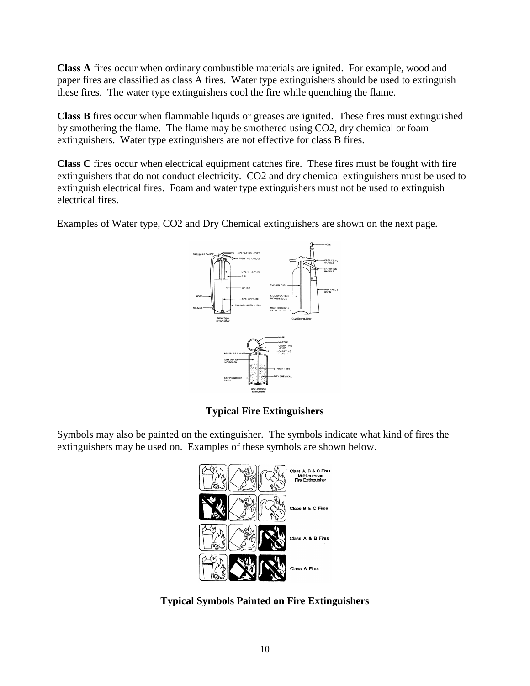**Class A** fires occur when ordinary combustible materials are ignited. For example, wood and paper fires are classified as class A fires. Water type extinguishers should be used to extinguish these fires. The water type extinguishers cool the fire while quenching the flame.

**Class B** fires occur when flammable liquids or greases are ignited. These fires must extinguished by smothering the flame. The flame may be smothered using CO2, dry chemical or foam extinguishers. Water type extinguishers are not effective for class B fires.

**Class C** fires occur when electrical equipment catches fire. These fires must be fought with fire extinguishers that do not conduct electricity. CO2 and dry chemical extinguishers must be used to extinguish electrical fires. Foam and water type extinguishers must not be used to extinguish electrical fires.

Examples of Water type, CO2 and Dry Chemical extinguishers are shown on the next page.



**Typical Fire Extinguishers**

Symbols may also be painted on the extinguisher. The symbols indicate what kind of fires the extinguishers may be used on. Examples of these symbols are shown below.



**Typical Symbols Painted on Fire Extinguishers**